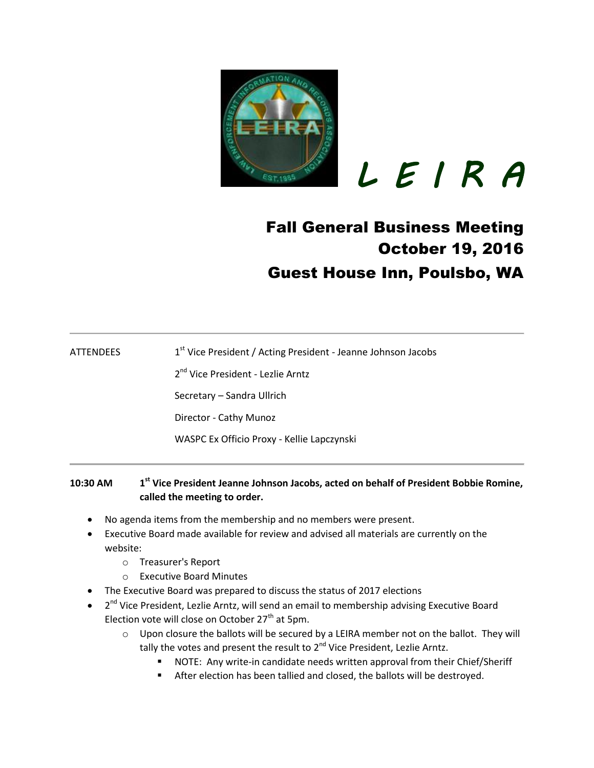

 *L E I R A* 

## Fall General Business Meeting October 19, 2016 Guest House Inn, Poulsbo, WA

**ATTENDEES** 1<sup>st</sup> Vice President / Acting President - Jeanne Johnson Jacobs

2<sup>nd</sup> Vice President - Lezlie Arntz

Secretary – Sandra Ullrich

Director - Cathy Munoz

WASPC Ex Officio Proxy - Kellie Lapczynski

## **10:30 AM 1 st Vice President Jeanne Johnson Jacobs, acted on behalf of President Bobbie Romine, called the meeting to order.**

- No agenda items from the membership and no members were present.
- Executive Board made available for review and advised all materials are currently on the website:
	- o Treasurer's Report
	- o Executive Board Minutes
- The Executive Board was prepared to discuss the status of 2017 elections
- 2<sup>nd</sup> Vice President, Lezlie Arntz, will send an email to membership advising Executive Board Election vote will close on October  $27<sup>th</sup>$  at 5pm.
	- o Upon closure the ballots will be secured by a LEIRA member not on the ballot. They will tally the votes and present the result to 2<sup>nd</sup> Vice President, Lezlie Arntz.
		- NOTE: Any write-in candidate needs written approval from their Chief/Sheriff
		- After election has been tallied and closed, the ballots will be destroyed.